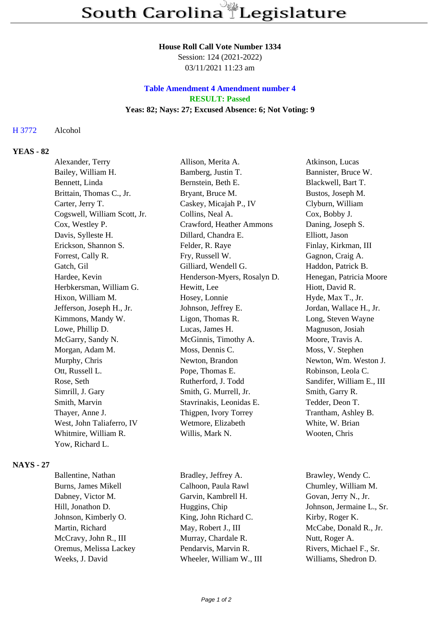#### **House Roll Call Vote Number 1334**

Session: 124 (2021-2022) 03/11/2021 11:23 am

## **Table Amendment 4 Amendment number 4 RESULT: Passed Yeas: 82; Nays: 27; Excused Absence: 6; Not Voting: 9**

### H 3772 Alcohol

## **YEAS - 82**

|                  | Alexander, Terry             | Allison, Merita A.          | Atkinson, Lucas           |
|------------------|------------------------------|-----------------------------|---------------------------|
|                  | Bailey, William H.           | Bamberg, Justin T.          | Bannister, Bruce W.       |
|                  | Bennett, Linda               | Bernstein, Beth E.          | Blackwell, Bart T.        |
|                  | Brittain, Thomas C., Jr.     | Bryant, Bruce M.            | Bustos, Joseph M.         |
|                  | Carter, Jerry T.             | Caskey, Micajah P., IV      | Clyburn, William          |
|                  | Cogswell, William Scott, Jr. | Collins, Neal A.            | Cox, Bobby J.             |
|                  | Cox, Westley P.              | Crawford, Heather Ammons    | Daning, Joseph S.         |
|                  | Davis, Sylleste H.           | Dillard, Chandra E.         | Elliott, Jason            |
|                  | Erickson, Shannon S.         | Felder, R. Raye             | Finlay, Kirkman, III      |
|                  | Forrest, Cally R.            | Fry, Russell W.             | Gagnon, Craig A.          |
|                  | Gatch, Gil                   | Gilliard, Wendell G.        | Haddon, Patrick B.        |
|                  | Hardee, Kevin                | Henderson-Myers, Rosalyn D. | Henegan, Patricia Moore   |
|                  | Herbkersman, William G.      | Hewitt, Lee                 | Hiott, David R.           |
|                  | Hixon, William M.            | Hosey, Lonnie               | Hyde, Max T., Jr.         |
|                  | Jefferson, Joseph H., Jr.    | Johnson, Jeffrey E.         | Jordan, Wallace H., Jr.   |
|                  | Kimmons, Mandy W.            | Ligon, Thomas R.            | Long, Steven Wayne        |
|                  | Lowe, Phillip D.             | Lucas, James H.             | Magnuson, Josiah          |
|                  | McGarry, Sandy N.            | McGinnis, Timothy A.        | Moore, Travis A.          |
|                  | Morgan, Adam M.              | Moss, Dennis C.             | Moss, V. Stephen          |
|                  | Murphy, Chris                | Newton, Brandon             | Newton, Wm. Weston J.     |
|                  | Ott, Russell L.              | Pope, Thomas E.             | Robinson, Leola C.        |
|                  | Rose, Seth                   | Rutherford, J. Todd         | Sandifer, William E., III |
|                  | Simrill, J. Gary             | Smith, G. Murrell, Jr.      | Smith, Garry R.           |
|                  | Smith, Marvin                | Stavrinakis, Leonidas E.    | Tedder, Deon T.           |
|                  | Thayer, Anne J.              | Thigpen, Ivory Torrey       | Trantham, Ashley B.       |
|                  | West, John Taliaferro, IV    | Wetmore, Elizabeth          | White, W. Brian           |
|                  | Whitmire, William R.         | Willis, Mark N.             | Wooten, Chris             |
|                  | Yow, Richard L.              |                             |                           |
| <b>NAYS - 27</b> |                              |                             |                           |
|                  | Ballentine, Nathan           | Bradley, Jeffrey A.         | Brawley, Wendy C.         |

Burns, James Mikell Calhoon, Paula Rawl Chumley, William M. Dabney, Victor M. Garvin, Kambrell H. Govan, Jerry N., Jr. Hill, Jonathon D. Huggins, Chip Johnson, Jermaine L., Sr. Johnson, Kimberly O. King, John Richard C. Kirby, Roger K. Martin, Richard May, Robert J., III McCabe, Donald R., Jr. McCravy, John R., III Murray, Chardale R. Nutt, Roger A. Oremus, Melissa Lackey Pendarvis, Marvin R. Rivers, Michael F., Sr. Weeks, J. David Wheeler, William W., III Williams, Shedron D.